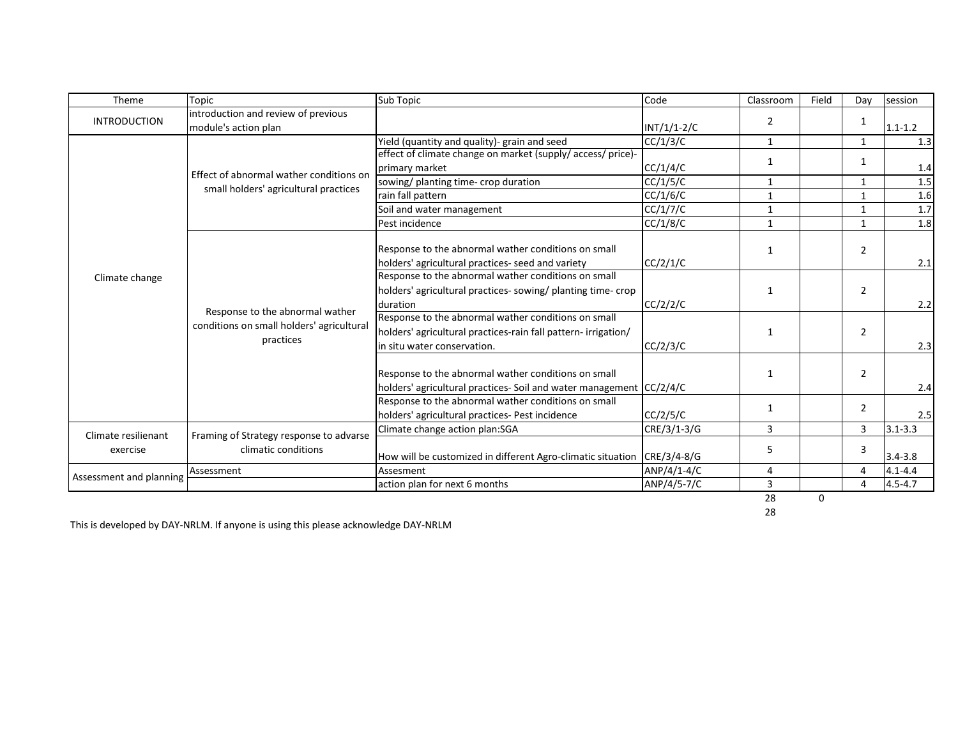| Theme                           | Topic                                                                                     | Sub Topic                                                                                                                                            | Code          | Classroom      | Field | Dav            | session     |
|---------------------------------|-------------------------------------------------------------------------------------------|------------------------------------------------------------------------------------------------------------------------------------------------------|---------------|----------------|-------|----------------|-------------|
| <b>INTRODUCTION</b>             | introduction and review of previous<br>module's action plan                               |                                                                                                                                                      | $INT/1/1-2/C$ | $\overline{2}$ |       | 1              | $1.1 - 1.2$ |
| Climate change                  | Effect of abnormal wather conditions on<br>small holders' agricultural practices          | Yield (quantity and quality)- grain and seed                                                                                                         | CC/1/3/C      | 1              |       | $\mathbf{1}$   | 1.3         |
|                                 |                                                                                           | effect of climate change on market (supply/access/price)-                                                                                            |               | 1              |       | $\mathbf{1}$   |             |
|                                 |                                                                                           | primary market                                                                                                                                       | CC/1/4/C      |                |       |                | 1.4         |
|                                 |                                                                                           | sowing/ planting time- crop duration                                                                                                                 | CC/1/5/C      | 1              |       | 1              | 1.5         |
|                                 |                                                                                           | rain fall pattern                                                                                                                                    | CC/1/6/C      | $\mathbf{1}$   |       | $\mathbf{1}$   | 1.6         |
|                                 |                                                                                           | Soil and water management                                                                                                                            | CC/1/7/C      | $\mathbf{1}$   |       | $\mathbf{1}$   | 1.7         |
|                                 |                                                                                           | Pest incidence                                                                                                                                       | CC/1/8/C      | $\mathbf{1}$   |       | 1              | 1.8         |
|                                 | Response to the abnormal wather<br>conditions on small holders' agricultural<br>practices | Response to the abnormal wather conditions on small<br>holders' agricultural practices- seed and variety                                             | CC/2/1/C      | 1              |       | $\overline{2}$ | 2.1         |
|                                 |                                                                                           | Response to the abnormal wather conditions on small<br>holders' agricultural practices-sowing/ planting time-crop<br>duration                        | CC/2/2/C      | $\mathbf{1}$   |       | 2              | 2.2         |
|                                 |                                                                                           | Response to the abnormal wather conditions on small<br>holders' agricultural practices-rain fall pattern- irrigation/<br>in situ water conservation. | CC/2/3/C      | 1              |       | $\overline{2}$ | 2.3         |
|                                 |                                                                                           | Response to the abnormal wather conditions on small<br>holders' agricultural practices- Soil and water management CC/2/4/C                           |               | 1              |       | $\overline{2}$ | 2.4         |
|                                 |                                                                                           | Response to the abnormal wather conditions on small<br>holders' agricultural practices- Pest incidence                                               | CC/2/5/C      | 1              |       | $\overline{2}$ | 2.5         |
| Climate resilienant<br>exercise | Framing of Strategy response to advarse<br>climatic conditions                            | Climate change action plan:SGA                                                                                                                       | CRE/3/1-3/G   | 3              |       | 3              | $3.1 - 3.3$ |
|                                 |                                                                                           | How will be customized in different Agro-climatic situation                                                                                          | CRE/3/4-8/G   | 5              |       | 3              | $3.4 - 3.8$ |
| Assessment and planning         | Assessment                                                                                | Assesment                                                                                                                                            | ANP/4/1-4/C   | 4              |       | 4              | $4.1 - 4.4$ |
|                                 |                                                                                           | action plan for next 6 months                                                                                                                        | ANP/4/5-7/C   | 3              |       | Δ              | $4.5 - 4.7$ |
|                                 |                                                                                           |                                                                                                                                                      |               | 28             | 0     |                |             |

28

This is developed by DAY-NRLM. If anyone is using this please acknowledge DAY-NRLM